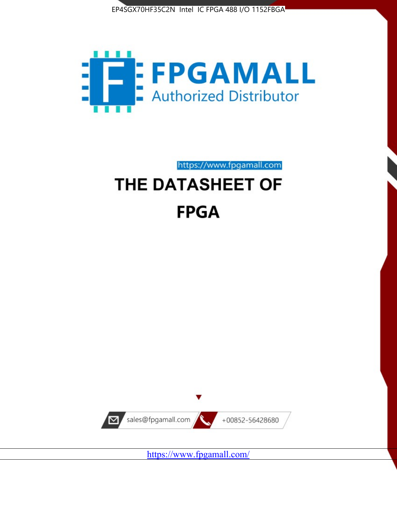



https://www.fpgamall.com

# THE DATASHEET OF **FPGA**



<https://www.fpgamall.com/>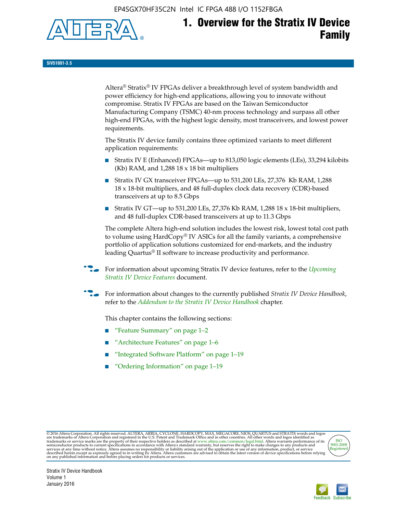EP4SGX70HF35C2N Intel IC FPGA 488 I/O 1152FBGA



**SIV51001-3.5**

Altera® Stratix® IV FPGAs deliver a breakthrough level of system bandwidth and power efficiency for high-end applications, allowing you to innovate without compromise. Stratix IV FPGAs are based on the Taiwan Semiconductor Manufacturing Company (TSMC) 40-nm process technology and surpass all other high-end FPGAs, with the highest logic density, most transceivers, and lowest power requirements.

The Stratix IV device family contains three optimized variants to meet different application requirements:

- Stratix IV E (Enhanced) FPGAs—up to 813,050 logic elements (LEs), 33,294 kilobits (Kb) RAM, and 1,288 18 x 18 bit multipliers
- Stratix IV GX transceiver FPGAs—up to 531,200 LEs, 27,376 Kb RAM, 1,288 18 x 18-bit multipliers, and 48 full-duplex clock data recovery (CDR)-based transceivers at up to 8.5 Gbps
- Stratix IV GT—up to 531,200 LEs, 27,376 Kb RAM, 1,288 18 x 18-bit multipliers, and 48 full-duplex CDR-based transceivers at up to 11.3 Gbps

The complete Altera high-end solution includes the lowest risk, lowest total cost path to volume using HardCopy® IV ASICs for all the family variants, a comprehensive portfolio of application solutions customized for end-markets, and the industry leading Quartus® II software to increase productivity and performance.

f For information about upcoming Stratix IV device features, refer to the *[Upcoming](http://www.altera.com/literature/hb/stratix-iv/uf01001.pdf?GSA_pos=2&WT.oss_r=1&WT.oss=upcoming)  [Stratix IV Device Features](http://www.altera.com/literature/hb/stratix-iv/uf01001.pdf?GSA_pos=2&WT.oss_r=1&WT.oss=upcoming)* document.

f For information about changes to the currently published *Stratix IV Device Handbook*, refer to the *[Addendum to the Stratix IV Device Handbook](http://www.altera.com/literature/hb/stratix-iv/stx4_siv54002.pdf)* chapter.

This chapter contains the following sections:

- "Feature Summary" on page 1–2
- "Architecture Features" on page 1–6
- "Integrated Software Platform" on page 1–19
- "Ordering Information" on page 1–19

@2016 Altera Corporation. All rights reserved. ALTERA, ARRIA, CYCLONE, HARDCOPY, MAX, MEGACORE, NIOS, QUARTUS and STRATIX words and logos are trademarks of Altera Corporation and registered in the U.S. Patent and Trademark



Stratix IV Device Handbook Volume 1 January 2016

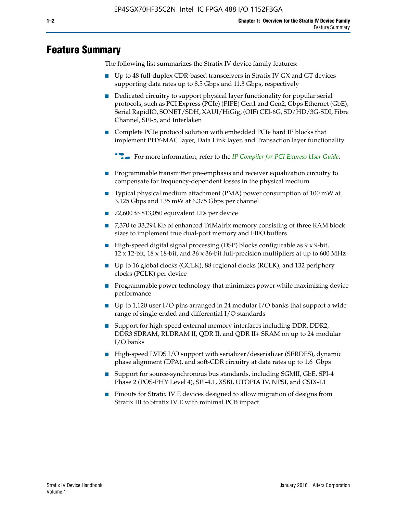# **Feature Summary**

The following list summarizes the Stratix IV device family features:

- Up to 48 full-duplex CDR-based transceivers in Stratix IV GX and GT devices supporting data rates up to 8.5 Gbps and 11.3 Gbps, respectively
- Dedicated circuitry to support physical layer functionality for popular serial protocols, such as PCI Express (PCIe) (PIPE) Gen1 and Gen2, Gbps Ethernet (GbE), Serial RapidIO, SONET/SDH, XAUI/HiGig, (OIF) CEI-6G, SD/HD/3G-SDI, Fibre Channel, SFI-5, and Interlaken
- Complete PCIe protocol solution with embedded PCIe hard IP blocks that implement PHY-MAC layer, Data Link layer, and Transaction layer functionality

**For more information, refer to the** *[IP Compiler for PCI Express User Guide](http://www.altera.com/literature/ug/ug_pci_express.pdf)***.** 

- Programmable transmitter pre-emphasis and receiver equalization circuitry to compensate for frequency-dependent losses in the physical medium
- Typical physical medium attachment (PMA) power consumption of 100 mW at 3.125 Gbps and 135 mW at 6.375 Gbps per channel
- 72,600 to 813,050 equivalent LEs per device
- 7,370 to 33,294 Kb of enhanced TriMatrix memory consisting of three RAM block sizes to implement true dual-port memory and FIFO buffers
- High-speed digital signal processing (DSP) blocks configurable as 9 x 9-bit,  $12 \times 12$ -bit,  $18 \times 18$ -bit, and  $36 \times 36$ -bit full-precision multipliers at up to 600 MHz
- Up to 16 global clocks (GCLK), 88 regional clocks (RCLK), and 132 periphery clocks (PCLK) per device
- Programmable power technology that minimizes power while maximizing device performance
- Up to 1,120 user I/O pins arranged in 24 modular I/O banks that support a wide range of single-ended and differential I/O standards
- Support for high-speed external memory interfaces including DDR, DDR2, DDR3 SDRAM, RLDRAM II, QDR II, and QDR II+ SRAM on up to 24 modular I/O banks
- High-speed LVDS I/O support with serializer/deserializer (SERDES), dynamic phase alignment (DPA), and soft-CDR circuitry at data rates up to 1.6 Gbps
- Support for source-synchronous bus standards, including SGMII, GbE, SPI-4 Phase 2 (POS-PHY Level 4), SFI-4.1, XSBI, UTOPIA IV, NPSI, and CSIX-L1
- Pinouts for Stratix IV E devices designed to allow migration of designs from Stratix III to Stratix IV E with minimal PCB impact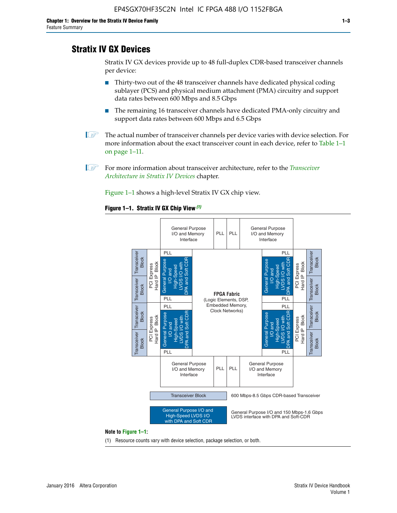# **Stratix IV GX Devices**

Stratix IV GX devices provide up to 48 full-duplex CDR-based transceiver channels per device:

- Thirty-two out of the 48 transceiver channels have dedicated physical coding sublayer (PCS) and physical medium attachment (PMA) circuitry and support data rates between 600 Mbps and 8.5 Gbps
- The remaining 16 transceiver channels have dedicated PMA-only circuitry and support data rates between 600 Mbps and 6.5 Gbps
- **1 The actual number of transceiver channels per device varies with device selection. For** more information about the exact transceiver count in each device, refer to Table 1–1 on page 1–11.
- 1 For more information about transceiver architecture, refer to the *[Transceiver](http://www.altera.com/literature/hb/stratix-iv/stx4_siv52001.pdf)  [Architecture in Stratix IV Devices](http://www.altera.com/literature/hb/stratix-iv/stx4_siv52001.pdf)* chapter.

Figure 1–1 shows a high-level Stratix IV GX chip view.

#### **Figure 1–1. Stratix IV GX Chip View** *(1)*



#### **Note to Figure 1–1:**

(1) Resource counts vary with device selection, package selection, or both.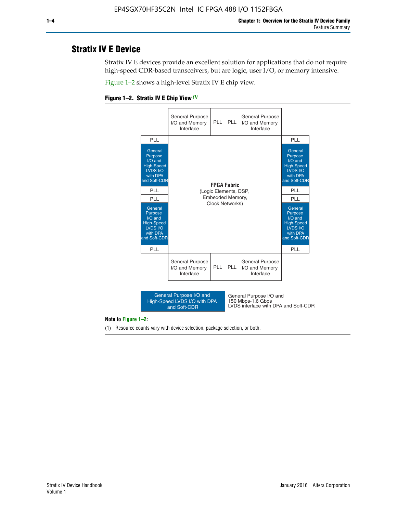# **Stratix IV E Device**

Stratix IV E devices provide an excellent solution for applications that do not require high-speed CDR-based transceivers, but are logic, user I/O, or memory intensive.

Figure 1–2 shows a high-level Stratix IV E chip view.





#### **Note to Figure 1–2:**

(1) Resource counts vary with device selection, package selection, or both.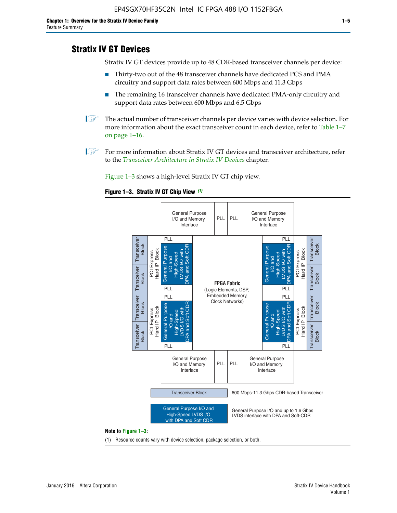# **Stratix IV GT Devices**

Stratix IV GT devices provide up to 48 CDR-based transceiver channels per device:

- Thirty-two out of the 48 transceiver channels have dedicated PCS and PMA circuitry and support data rates between 600 Mbps and 11.3 Gbps
- The remaining 16 transceiver channels have dedicated PMA-only circuitry and support data rates between 600 Mbps and 6.5 Gbps
- **1** The actual number of transceiver channels per device varies with device selection. For more information about the exact transceiver count in each device, refer to Table 1–7 on page 1–16.
- $\mathbb{I}$  For more information about Stratix IV GT devices and transceiver architecture, refer to the *[Transceiver Architecture in Stratix IV Devices](http://www.altera.com/literature/hb/stratix-iv/stx4_siv52001.pdf)* chapter.

Figure 1–3 shows a high-level Stratix IV GT chip view.

#### **Figure 1–3. Stratix IV GT Chip View** *(1)*



(1) Resource counts vary with device selection, package selection, or both.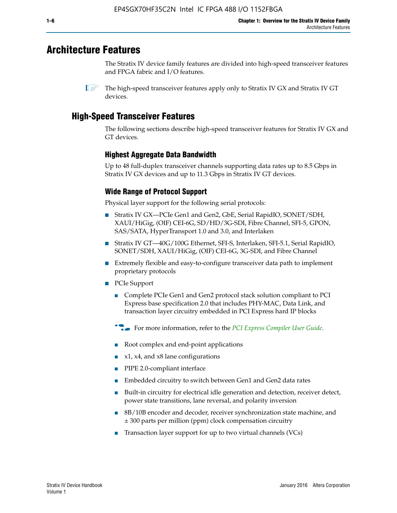# **Architecture Features**

The Stratix IV device family features are divided into high-speed transceiver features and FPGA fabric and I/O features.

 $\mathbb{I}$  The high-speed transceiver features apply only to Stratix IV GX and Stratix IV GT devices.

# **High-Speed Transceiver Features**

The following sections describe high-speed transceiver features for Stratix IV GX and GT devices.

## **Highest Aggregate Data Bandwidth**

Up to 48 full-duplex transceiver channels supporting data rates up to 8.5 Gbps in Stratix IV GX devices and up to 11.3 Gbps in Stratix IV GT devices.

## **Wide Range of Protocol Support**

Physical layer support for the following serial protocols:

- Stratix IV GX—PCIe Gen1 and Gen2, GbE, Serial RapidIO, SONET/SDH, XAUI/HiGig, (OIF) CEI-6G, SD/HD/3G-SDI, Fibre Channel, SFI-5, GPON, SAS/SATA, HyperTransport 1.0 and 3.0, and Interlaken
- Stratix IV GT—40G/100G Ethernet, SFI-S, Interlaken, SFI-5.1, Serial RapidIO, SONET/SDH, XAUI/HiGig, (OIF) CEI-6G, 3G-SDI, and Fibre Channel
- Extremely flexible and easy-to-configure transceiver data path to implement proprietary protocols
- PCIe Support
	- Complete PCIe Gen1 and Gen2 protocol stack solution compliant to PCI Express base specification 2.0 that includes PHY-MAC, Data Link, and transaction layer circuitry embedded in PCI Express hard IP blocks
	- **For more information, refer to the [PCI Express Compiler User Guide](http://www.altera.com/literature/ug/ug_pci_express.pdf).**
	- Root complex and end-point applications
	- $x1, x4,$  and  $x8$  lane configurations
	- PIPE 2.0-compliant interface
	- Embedded circuitry to switch between Gen1 and Gen2 data rates
	- Built-in circuitry for electrical idle generation and detection, receiver detect, power state transitions, lane reversal, and polarity inversion
	- 8B/10B encoder and decoder, receiver synchronization state machine, and ± 300 parts per million (ppm) clock compensation circuitry
	- Transaction layer support for up to two virtual channels (VCs)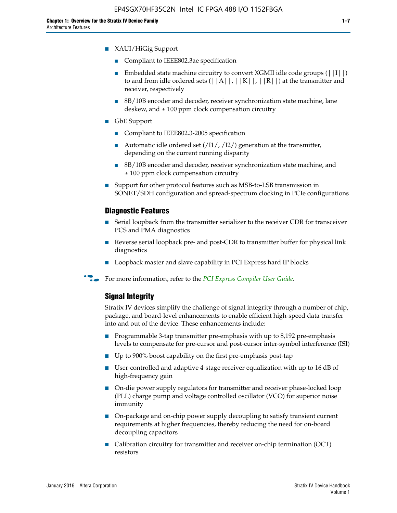- XAUI/HiGig Support
	- Compliant to IEEE802.3ae specification
	- **■** Embedded state machine circuitry to convert XGMII idle code groups  $(|11|)$ to and from idle ordered sets  $(|A|, |K|, |R|)$  at the transmitter and receiver, respectively
	- 8B/10B encoder and decoder, receiver synchronization state machine, lane deskew, and  $\pm 100$  ppm clock compensation circuitry
- GbE Support
	- Compliant to IEEE802.3-2005 specification
	- Automatic idle ordered set  $(111/112/1)$  generation at the transmitter, depending on the current running disparity
	- 8B/10B encoder and decoder, receiver synchronization state machine, and ± 100 ppm clock compensation circuitry
- Support for other protocol features such as MSB-to-LSB transmission in SONET/SDH configuration and spread-spectrum clocking in PCIe configurations

#### **Diagnostic Features**

- Serial loopback from the transmitter serializer to the receiver CDR for transceiver PCS and PMA diagnostics
- Reverse serial loopback pre- and post-CDR to transmitter buffer for physical link diagnostics
- Loopback master and slave capability in PCI Express hard IP blocks
- **For more information, refer to the** *[PCI Express Compiler User Guide](http://www.altera.com/literature/ug/ug_pci_express.pdf)***.**

## **Signal Integrity**

Stratix IV devices simplify the challenge of signal integrity through a number of chip, package, and board-level enhancements to enable efficient high-speed data transfer into and out of the device. These enhancements include:

- Programmable 3-tap transmitter pre-emphasis with up to 8,192 pre-emphasis levels to compensate for pre-cursor and post-cursor inter-symbol interference (ISI)
- Up to 900% boost capability on the first pre-emphasis post-tap
- User-controlled and adaptive 4-stage receiver equalization with up to 16 dB of high-frequency gain
- On-die power supply regulators for transmitter and receiver phase-locked loop (PLL) charge pump and voltage controlled oscillator (VCO) for superior noise immunity
- On-package and on-chip power supply decoupling to satisfy transient current requirements at higher frequencies, thereby reducing the need for on-board decoupling capacitors
- Calibration circuitry for transmitter and receiver on-chip termination (OCT) resistors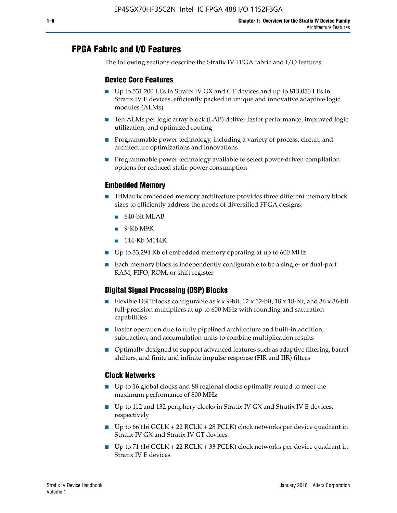# **FPGA Fabric and I/O Features**

The following sections describe the Stratix IV FPGA fabric and I/O features.

## **Device Core Features**

- Up to 531,200 LEs in Stratix IV GX and GT devices and up to 813,050 LEs in Stratix IV E devices, efficiently packed in unique and innovative adaptive logic modules (ALMs)
- Ten ALMs per logic array block (LAB) deliver faster performance, improved logic utilization, and optimized routing
- Programmable power technology, including a variety of process, circuit, and architecture optimizations and innovations
- Programmable power technology available to select power-driven compilation options for reduced static power consumption

## **Embedded Memory**

- TriMatrix embedded memory architecture provides three different memory block sizes to efficiently address the needs of diversified FPGA designs:
	- 640-bit MLAB
	- 9-Kb M9K
	- 144-Kb M144K
- Up to 33,294 Kb of embedded memory operating at up to 600 MHz
- Each memory block is independently configurable to be a single- or dual-port RAM, FIFO, ROM, or shift register

## **Digital Signal Processing (DSP) Blocks**

- Flexible DSP blocks configurable as  $9 \times 9$ -bit,  $12 \times 12$ -bit,  $18 \times 18$ -bit, and  $36 \times 36$ -bit full-precision multipliers at up to 600 MHz with rounding and saturation capabilities
- Faster operation due to fully pipelined architecture and built-in addition, subtraction, and accumulation units to combine multiplication results
- Optimally designed to support advanced features such as adaptive filtering, barrel shifters, and finite and infinite impulse response (FIR and IIR) filters

### **Clock Networks**

- Up to 16 global clocks and 88 regional clocks optimally routed to meet the maximum performance of 800 MHz
- Up to 112 and 132 periphery clocks in Stratix IV GX and Stratix IV E devices, respectively
- Up to 66 (16 GCLK + 22 RCLK + 28 PCLK) clock networks per device quadrant in Stratix IV GX and Stratix IV GT devices
- Up to 71 (16 GCLK + 22 RCLK + 33 PCLK) clock networks per device quadrant in Stratix IV E devices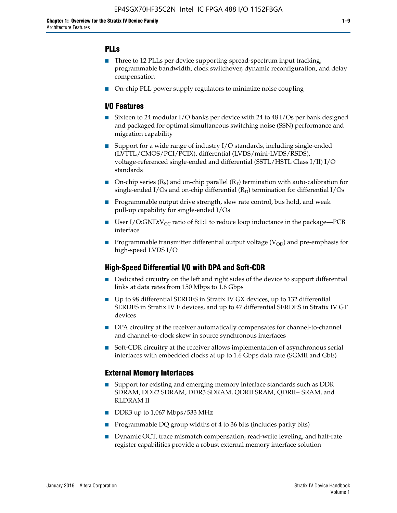## **PLLs**

- Three to 12 PLLs per device supporting spread-spectrum input tracking, programmable bandwidth, clock switchover, dynamic reconfiguration, and delay compensation
- On-chip PLL power supply regulators to minimize noise coupling

## **I/O Features**

- Sixteen to 24 modular I/O banks per device with 24 to 48 I/Os per bank designed and packaged for optimal simultaneous switching noise (SSN) performance and migration capability
- Support for a wide range of industry I/O standards, including single-ended (LVTTL/CMOS/PCI/PCIX), differential (LVDS/mini-LVDS/RSDS), voltage-referenced single-ended and differential (SSTL/HSTL Class I/II) I/O standards
- **O**n-chip series  $(R_S)$  and on-chip parallel  $(R_T)$  termination with auto-calibration for single-ended I/Os and on-chip differential  $(R_D)$  termination for differential I/Os
- Programmable output drive strength, slew rate control, bus hold, and weak pull-up capability for single-ended I/Os
- User I/O:GND: $V_{CC}$  ratio of 8:1:1 to reduce loop inductance in the package—PCB interface
- **■** Programmable transmitter differential output voltage ( $V_{OD}$ ) and pre-emphasis for high-speed LVDS I/O

### **High-Speed Differential I/O with DPA and Soft-CDR**

- Dedicated circuitry on the left and right sides of the device to support differential links at data rates from 150 Mbps to 1.6 Gbps
- Up to 98 differential SERDES in Stratix IV GX devices, up to 132 differential SERDES in Stratix IV E devices, and up to 47 differential SERDES in Stratix IV GT devices
- DPA circuitry at the receiver automatically compensates for channel-to-channel and channel-to-clock skew in source synchronous interfaces
- Soft-CDR circuitry at the receiver allows implementation of asynchronous serial interfaces with embedded clocks at up to 1.6 Gbps data rate (SGMII and GbE)

### **External Memory Interfaces**

- Support for existing and emerging memory interface standards such as DDR SDRAM, DDR2 SDRAM, DDR3 SDRAM, QDRII SRAM, QDRII+ SRAM, and RLDRAM II
- DDR3 up to 1,067 Mbps/533 MHz
- Programmable DQ group widths of 4 to 36 bits (includes parity bits)
- Dynamic OCT, trace mismatch compensation, read-write leveling, and half-rate register capabilities provide a robust external memory interface solution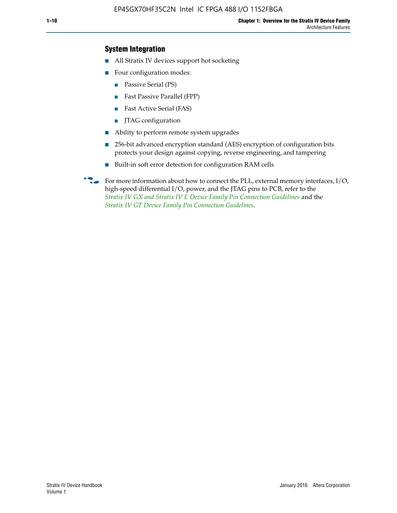## **System Integration**

- All Stratix IV devices support hot socketing
- Four configuration modes:
	- Passive Serial (PS)
	- Fast Passive Parallel (FPP)
	- Fast Active Serial (FAS)
	- JTAG configuration
- Ability to perform remote system upgrades
- 256-bit advanced encryption standard (AES) encryption of configuration bits protects your design against copying, reverse engineering, and tampering
- Built-in soft error detection for configuration RAM cells
- For more information about how to connect the PLL, external memory interfaces,  $I/O$ , high-speed differential I/O, power, and the JTAG pins to PCB, refer to the *[Stratix IV GX and Stratix IV E Device Family Pin Connection Guidelines](http://www.altera.com/literature/dp/stratix4/PCG-01005.pdf)* and the *[Stratix IV GT Device Family Pin Connection Guidelines](http://www.altera.com/literature/dp/stratix4/PCG-01006.pdf)*.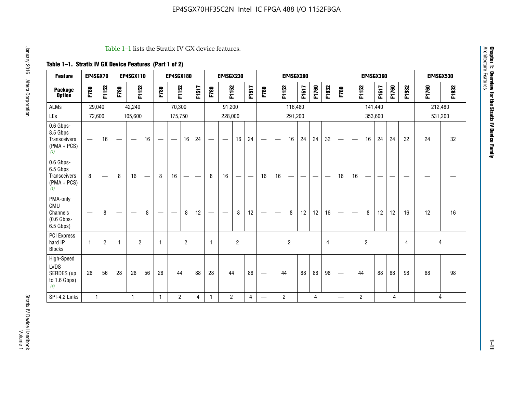#### Table 1–1 lists the Stratix IV GX device features.

# **Table 1–1. Stratix IV GX Device Features (Part 1 of 2)**

| <b>Feature</b>                                                 | EP4SGX70                 |                |                                  | <b>EP4SGX110</b>  |    |                                | <b>EP4SGX180</b>               |                |       |              | <b>EP4SGX230</b>         |                |       |                                 |                | <b>EP4SGX290</b> |       |       |                |                                 |                   | <b>EP4SGX360</b> |         |       |       |         | <b>EP4SGX530</b> |
|----------------------------------------------------------------|--------------------------|----------------|----------------------------------|-------------------|----|--------------------------------|--------------------------------|----------------|-------|--------------|--------------------------|----------------|-------|---------------------------------|----------------|------------------|-------|-------|----------------|---------------------------------|-------------------|------------------|---------|-------|-------|---------|------------------|
| <b>Package</b><br><b>Option</b>                                | F780                     | F1152          | F780                             | F1152             |    | F780                           | F1152                          |                | F1517 | F780         | F1152                    |                | F1517 | F780                            | F1152          |                  | F1517 | F1760 | F1932          | F780                            | F1152             |                  | F1517   | F1760 | F1932 | F1760   | F1932            |
| <b>ALMs</b>                                                    | 29,040                   |                |                                  | 42,240            |    |                                | 70,300                         |                |       |              | 91,200                   |                |       |                                 |                | 116,480          |       |       |                |                                 |                   |                  | 141,440 |       |       | 212,480 |                  |
| LEs                                                            | 72,600                   |                |                                  | 105,600           |    |                                | 175,750                        |                |       |              | 228,000                  |                |       |                                 |                | 291,200          |       |       |                |                                 |                   |                  | 353,600 |       |       |         | 531,200          |
| 0.6 Gbps-<br>8.5 Gbps<br>Transceivers<br>$(PMA + PCs)$<br>(1)  | $\overline{\phantom{0}}$ | 16             | $\hspace{0.05cm}$                | $\hspace{0.05cm}$ | 16 | $\qquad \qquad \longleftarrow$ | $\hspace{0.05cm}$              | 16             | 24    |              | $\overline{\phantom{a}}$ | 16             | 24    | —                               |                | 16               | 24    | 24    | 32             | $\overline{\phantom{0}}$        | $\hspace{0.05cm}$ | 16               | 24      | 24    | 32    | 24      | 32               |
| 0.6 Gbps-<br>6.5 Gbps<br>Transceivers<br>$(PMA + PCs)$<br>(1)  | 8                        |                | 8                                | 16                |    | 8                              | 16                             | ÷              |       | 8            | 16                       | —              |       | 16                              | 16             |                  |       |       |                | 16                              | 16                |                  |         |       |       |         |                  |
| PMA-only<br>CMU<br>Channels<br>$(0.6$ Gbps-<br>6.5 Gbps)       | $\overline{\phantom{0}}$ | 8              | $\overbrace{\phantom{12322111}}$ |                   | 8  | $\qquad \qquad \longleftarrow$ | $\qquad \qquad \longleftarrow$ | 8              | 12    |              |                          | 8              | 12    | $\hspace{0.1mm}-\hspace{0.1mm}$ |                | 8                | 12    | 12    | 16             | $\overline{\phantom{0}}$        | $\hspace{0.05cm}$ | 8                | 12      | 12    | 16    | 12      | 16               |
| <b>PCI Express</b><br>hard IP<br><b>Blocks</b>                 | $\mathbf{1}$             | $\overline{2}$ | $\mathbf 1$                      | $\overline{2}$    |    | $\mathbf{1}$                   |                                | $\overline{2}$ |       | $\mathbf{1}$ |                          | $\overline{c}$ |       |                                 |                | $\overline{c}$   |       |       | $\overline{4}$ |                                 |                   | $\overline{2}$   |         |       | 4     |         | 4                |
| High-Speed<br><b>LVDS</b><br>SERDES (up<br>to 1.6 Gbps)<br>(4) | 28                       | 56             | 28                               | 28                | 56 | 28                             | 44                             |                | 88    | 28           | 44                       |                | 88    | —                               | 44             |                  | 88    | 88    | 98             | $\hspace{0.1mm}-\hspace{0.1mm}$ | 44                |                  | 88      | 88    | 98    | 88      | 98               |
| SPI-4.2 Links                                                  | $\mathbf{1}$             |                |                                  | 1                 |    | $\mathbf{1}$                   | $\overline{c}$                 |                | 4     | 1            | $\overline{c}$           |                | 4     | —                               | $\overline{2}$ |                  |       | 4     |                | $\overline{\phantom{0}}$        | $\overline{2}$    |                  |         | 4     |       |         | 4                |

**Chapter 1: Overview for the Stratix IV Device Family**

**Chapter 1: Overview for the Stratix IV Device Family**<br>Architecture Features

Architecture Features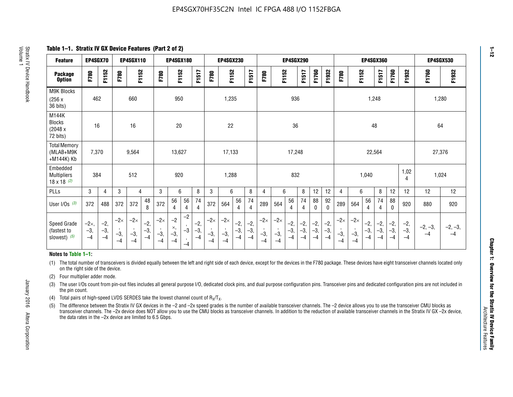**Table 1–1. Stratix IV GX Device Features (Part 2 of 2)**

| <b>Feature</b>                                       | EP4SGX70                |                        |                             | <b>EP4SGX110</b>            |                      |                             | <b>EP4SGX180</b>          |                      |                        |                             | <b>EP4SGX230</b>            |                      |                        |                             |                             | <b>EP4SGX290</b>       |                      |                        |                      |                             |                             |                        | <b>EP4SGX360</b>       |                        |                        | <b>EP4SGX530</b>  |                   |
|------------------------------------------------------|-------------------------|------------------------|-----------------------------|-----------------------------|----------------------|-----------------------------|---------------------------|----------------------|------------------------|-----------------------------|-----------------------------|----------------------|------------------------|-----------------------------|-----------------------------|------------------------|----------------------|------------------------|----------------------|-----------------------------|-----------------------------|------------------------|------------------------|------------------------|------------------------|-------------------|-------------------|
| <b>Package</b><br><b>Option</b>                      | F780                    | F1152                  | F780                        | F1152                       |                      | F780                        | F1152                     |                      | F1517                  | F780                        | F1152                       |                      | F1517                  | F780                        | F1152                       |                        | F1517                | F1760                  | F1932                | F780                        | F1152                       |                        | F1517                  | F1760                  | F1932                  | F1760             | F1932             |
| M9K Blocks<br>(256x)<br>36 bits)                     | 462                     |                        |                             | 660                         |                      |                             | 950                       |                      |                        |                             | 1,235                       |                      |                        |                             |                             | 936                    |                      |                        |                      |                             |                             | 1,248                  |                        |                        |                        | 1,280             |                   |
| M144K<br>Blocks<br>(2048 x<br>72 bits)               | 16                      |                        |                             | 16                          |                      |                             | 20                        |                      |                        |                             | 22                          |                      |                        |                             |                             | 36                     |                      |                        |                      |                             |                             | 48                     |                        |                        |                        | 64                |                   |
| <b>Total Memory</b><br>(MLAB+M9K<br>+M144K) Kb       | 7,370                   |                        |                             | 9,564                       |                      |                             | 13,627                    |                      |                        |                             | 17,133                      |                      |                        |                             |                             | 17,248                 |                      |                        |                      |                             |                             | 22,564                 |                        |                        |                        | 27,376            |                   |
| Embedded<br><b>Multipliers</b><br>$18 \times 18$ (2) | 384                     |                        |                             | 512                         |                      |                             | 920                       |                      |                        |                             | 1,288                       |                      |                        |                             |                             | 832                    |                      |                        |                      |                             |                             | 1,040                  |                        |                        | 1,02<br>4              | 1,024             |                   |
| PLLs                                                 | 3                       | 4                      | 3                           | 4                           |                      | 3                           | 6                         |                      | 8                      | 3                           | 6                           |                      | 8                      | $\overline{4}$              | 6                           |                        | 8                    | 12                     | 12                   | 4                           | 6                           |                        | 8                      | 12                     | 12                     | 12                | 12                |
| User I/Os $(3)$                                      | 372                     | 488                    | 372                         | 372                         | 48<br>8              | 372                         | 56<br>4                   | 56<br>4              | 74<br>4                | 372                         | 564                         | 56<br>4              | 74<br>$\overline{4}$   | 289                         | 564                         | 56<br>4                | 74<br>4              | 88<br>0                | 92<br>$\mathbf{0}$   | 289                         | 564                         | 56<br>4                | 74<br>4                | 88<br>0                | 920                    | 880               | 920               |
| Speed Grade<br>(fastest to<br>slowest) (5)           | $-2x,$<br>$-3,$<br>$-4$ | $-2,$<br>$-3,$<br>$-4$ | $-2\times$<br>$-3,$<br>$-4$ | $-2\times$<br>$-3,$<br>$-4$ | $-2,$<br>-3,<br>$-4$ | $-2\times$<br>$-3,$<br>$-4$ | $-2$<br>×,<br>$-3,$<br>-4 | $-2$<br>$-3$<br>$-4$ | $-2,$<br>$-3,$<br>$-4$ | $-2\times$<br>$-3,$<br>$-4$ | $-2\times$<br>$-3,$<br>$-4$ | $-2,$<br>-3,<br>$-4$ | $-2,$<br>$-3,$<br>$-4$ | $-2\times$<br>$-3,$<br>$-4$ | $-2\times$<br>$-3,$<br>$-4$ | $-2,$<br>$-3,$<br>$-4$ | $-2,$<br>-3,<br>$-4$ | $-2,$<br>$-3,$<br>$-4$ | $-2,$<br>-3,<br>$-4$ | $-2\times$<br>$-3,$<br>$-4$ | $-2\times$<br>$-3,$<br>$-4$ | $-2,$<br>$-3,$<br>$-4$ | $-2,$<br>$-3,$<br>$-4$ | $-2,$<br>$-3,$<br>$-4$ | $-2,$<br>$-3,$<br>$-4$ | $-2, -3,$<br>$-4$ | $-2, -3,$<br>$-4$ |

#### **Notes to Table 1–1:**

(1) The total number of transceivers is divided equally between the left and right side of each device, except for the devices in the F780 package. These devices have eight transceiver channels located only on the right side of the device.

- (2) Four multiplier adder mode.
- (3) The user I/Os count from pin-out files includes all general purpose I/O, dedicated clock pins, and dual purpose configuration pins. Transceiver pins and dedicated configuration pins are not included in the pin count.
- (4) Total pairs of high-speed LVDS SERDES take the lowest channel count of  $R_X/T_X$ .
- (5) The difference between the Stratix IV GX devices in the –2 and –2x speed grades is the number of available transceiver channels. The –2 device allows you to use the transceiver CMU blocks as transceiver channels. The –2x device does NOT allow you to use the CMU blocks as transceiver channels. In addition to the reduction of available transceiver channels in the Stratix IV GX –2x device, the data rates in the –2x device are limited to 6.5 Gbps.

January 2016 Altera Corporation

Altera Corporation

January 2016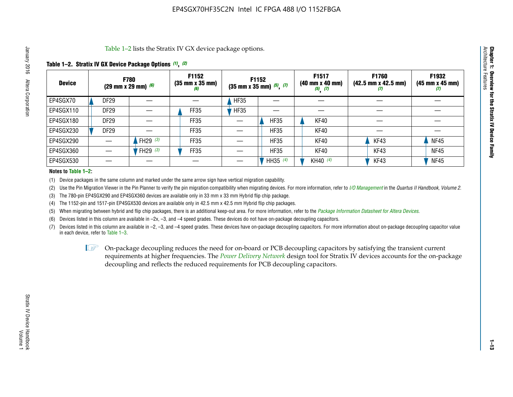Table 1–2 lists the Stratix IV GX device package options.

## **Table 1–2. Stratix IV GX Device Package Options** *(1)***,** *(2)*

| <b>Device</b> |                  | <b>F780</b><br>(29 mm x 29 mm) $(6)$ | F1152<br>$(35 \, \text{mm} \times 35 \, \text{mm})$<br>(6) |             | <b>F1152</b><br>$(35$ mm x 35 mm) $(5)$ , $(7)$ | F1517<br>(40 mm x 40 mm)<br>$(5)$ $(7)$ | <b>F1760</b><br>$(42.5 \text{ mm} \times 42.5 \text{ mm})$<br>Ø | F1932<br>$(45 \, \text{mm} \times 45 \, \text{mm})$<br>(7) |
|---------------|------------------|--------------------------------------|------------------------------------------------------------|-------------|-------------------------------------------------|-----------------------------------------|-----------------------------------------------------------------|------------------------------------------------------------|
| EP4SGX70      | DF <sub>29</sub> |                                      |                                                            | <b>HF35</b> |                                                 |                                         |                                                                 |                                                            |
| EP4SGX110     | <b>DF29</b>      |                                      | FF35                                                       | <b>HF35</b> |                                                 |                                         |                                                                 |                                                            |
| EP4SGX180     | DF <sub>29</sub> |                                      | FF35                                                       |             | <b>HF35</b>                                     | KF40                                    |                                                                 |                                                            |
| EP4SGX230     | <b>DF29</b>      |                                      | FF35                                                       |             | <b>HF35</b>                                     | KF40                                    |                                                                 |                                                            |
| EP4SGX290     |                  | FH29 $(3)$                           | FF35                                                       |             | <b>HF35</b>                                     | KF40                                    | KF43                                                            | <b>NF45</b>                                                |
| EP4SGX360     |                  | 'FH29 (3)                            | FF35                                                       |             | <b>HF35</b>                                     | KF40                                    | KF43                                                            | <b>NF45</b>                                                |
| EP4SGX530     |                  |                                      |                                                            |             | HH35 $(4)$                                      | KH40 (4)                                | KF43                                                            | <b>NF45</b>                                                |

#### **Notes to Table 1–2:**

(1) Device packages in the same column and marked under the same arrow sign have vertical migration capability.

(2) Use the Pin Migration Viewer in the Pin Planner to verify the pin migration compatibility when migrating devices. For more information, refer to *[I/O Management](http://www.altera.com/literature/hb/qts/qts_qii52013.pdf)* in the *Quartus II Handbook, Volume 2*.

(3) The 780-pin EP4SGX290 and EP4SGX360 devices are available only in 33 mm x 33 mm Hybrid flip chip package.

(4) The 1152-pin and 1517-pin EP4SGX530 devices are available only in 42.5 mm x 42.5 mm Hybrid flip chip packages.

(5) When migrating between hybrid and flip chip packages, there is an additional keep-out area. For more information, refer to the *[Package Information Datasheet for Altera Devices](http://www.altera.com/literature/ds/dspkg.pdf)*.

(6) Devices listed in this column are available in –2x, –3, and –4 speed grades. These devices do not have on-package decoupling capacitors.

(7) Devices listed in this column are available in –2, –3, and –4 speed grades. These devices have on-package decoupling capacitors. For more information about on-package decoupling capacitor value in each device, refer to Table 1–3.

 $\mathbb{L}$ s On-package decoupling reduces the need for on-board or PCB decoupling capacitors by satisfying the transient current requirements at higher frequencies. The *[Power Delivery Network](http://www.altera.com/literature/ug/pdn_tool_stxiv.zip)* design tool for Stratix IV devices accounts for the on-package decoupling and reflects the reduced requirements for PCB decoupling capacitors.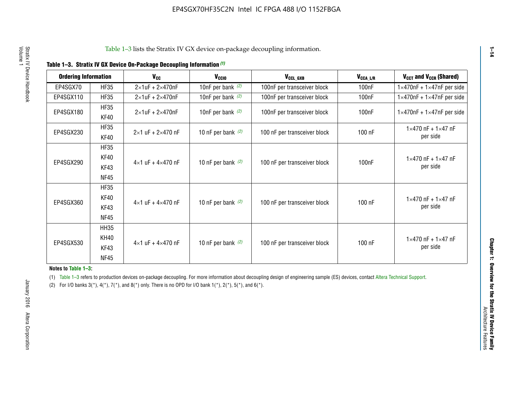| <b>Ordering Information</b> |                            | <b>V<sub>cc</sub></b>               | V <sub>ccio</sub>    | V <sub>CCL GXB</sub>         | V <sub>CCA_L/R</sub> | V <sub>CCT</sub> and V <sub>CCR</sub> (Shared)   |
|-----------------------------|----------------------------|-------------------------------------|----------------------|------------------------------|----------------------|--------------------------------------------------|
| EP4SGX70                    | <b>HF35</b>                | $2\times1$ uF + $2\times470$ nF     | 10nF per bank $(2)$  | 100nF per transceiver block  | 100 <sub>n</sub> F   | $1 \times 470$ nF + $1 \times 47$ nF per side    |
| EP4SGX110                   | <b>HF35</b>                | $2\times1$ uF + $2\times470$ nF     | 10nF per bank $(2)$  | 100nF per transceiver block  | 100 <sub>n</sub> F   | $1\times470$ nF + $1\times47$ nF per side        |
| EP4SGX180                   | <b>HF35</b><br>KF40        | $2\times1$ uF + $2\times470$ nF     | 10nF per bank $(2)$  | 100nF per transceiver block  | 100 <sub>n</sub> F   | $1 \times 470$ nF + $1 \times 47$ nF per side    |
| EP4SGX230                   | <b>HF35</b><br>KF40        | $2 \times 1$ uF + $2 \times 470$ nF | 10 nF per bank $(2)$ | 100 nF per transceiver block | 100 nF               | $1 \times 470$ nF + $1 \times 47$ nF<br>per side |
| EP4SGX290                   | <b>HF35</b><br><b>KF40</b> |                                     |                      |                              |                      | $1 \times 470$ nF + $1 \times 47$ nF             |
|                             | KF43<br><b>NF45</b>        | $4 \times 1$ uF + $4 \times 470$ nF | 10 nF per bank $(2)$ | 100 nF per transceiver block | 100nF                | per side                                         |
|                             | <b>HF35</b><br>KF40        |                                     |                      |                              |                      | $1 \times 470$ nF + $1 \times 47$ nF             |
| EP4SGX360                   | KF43<br><b>NF45</b>        | $4 \times 1$ uF + $4 \times 470$ nF | 10 nF per bank $(2)$ | 100 nF per transceiver block | 100 nF               | per side                                         |
|                             | <b>HH35</b>                |                                     |                      |                              |                      |                                                  |
| EP4SGX530                   | <b>KH40</b><br>KF43        | $4 \times 1$ uF + $4 \times 470$ nF | 10 nF per bank $(2)$ | 100 nF per transceiver block | 100 nF               | $1 \times 470$ nF + $1 \times 47$ nF<br>per side |
|                             | <b>NF45</b>                |                                     |                      |                              |                      |                                                  |

**Notes to Table 1–3:**

(1) Table 1-3 refers to production devices on-package decoupling. For more information about decoupling design of engineering sample (ES) devices, contact [Altera Technical Support](http://mysupport.altera.com/eservice/login.asp).

(2) For I/O banks  $3(*)$ ,  $4(*)$ ,  $7(*)$ , and  $8(*)$  only. There is no OPD for I/O bank  $1(*)$ ,  $2(*)$ ,  $5(*)$ , and  $6(*)$ .

**1–14**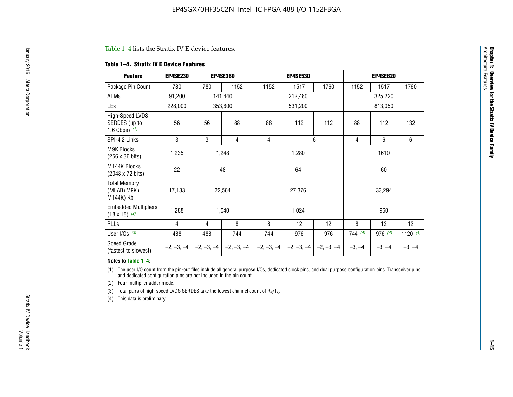#### Table 1–4 lists the Stratix IV E device features.

#### **Table 1–4. Stratix IV E Device Features**

| <b>Feature</b>                                      | <b>EP4SE230</b> |     | <b>EP4SE360</b>                          |              | <b>EP4SE530</b> |              |          | <b>EP4SE820</b> |            |  |
|-----------------------------------------------------|-----------------|-----|------------------------------------------|--------------|-----------------|--------------|----------|-----------------|------------|--|
| Package Pin Count                                   | 780             | 780 | 1152                                     | 1152         | 1517            | 1760         | 1152     | 1517            | 1760       |  |
| ALMs                                                | 91,200          |     | 141,440                                  |              | 212,480         |              |          | 325,220         |            |  |
| LEs                                                 | 228,000         |     | 353,600                                  |              | 531,200         |              | 813,050  |                 |            |  |
| High-Speed LVDS<br>SERDES (up to<br>1.6 Gbps) $(1)$ | 56              | 56  | 88                                       | 88           | 112             | 112          | 88       | 112             | 132        |  |
| SPI-4.2 Links                                       | 3               | 3   | 4                                        | 4            |                 | 6            | 4        | 6               | 6          |  |
| <b>M9K Blocks</b><br>(256 x 36 bits)                | 1,235           |     | 1,248<br>1,280                           |              |                 |              |          | 1610            |            |  |
| M144K Blocks<br>(2048 x 72 bits)                    | 22              |     | 48                                       |              | 64              |              | 60       |                 |            |  |
| <b>Total Memory</b><br>$(MLAB+M9K+$<br>M144K) Kb    | 17,133          |     | 22,564                                   |              | 27,376          |              |          | 33,294          |            |  |
| <b>Embedded Multipliers</b><br>$(18 \times 18)$ (2) | 1,288           |     | 1,040                                    |              | 1,024           |              |          | 960             |            |  |
| PLLs                                                | 4               | 4   | 8                                        | 8            | 12              | 12           | 8        | 12              | 12         |  |
| User I/Os $(3)$                                     | 488             | 488 | 744                                      | 744          | 976             | 976          | 744(4)   | 976 (4)         | 1120 $(4)$ |  |
| Speed Grade<br>(fastest to slowest)                 |                 |     | $-2, -3, -4$ $ -2, -3, -4$ $ -2, -3, -4$ | $-2, -3, -4$ | $-2, -3, -4$    | $-2, -3, -4$ | $-3, -4$ | $-3, -4$        | $-3, -4$   |  |

#### **Notes to Table 1–4:**

(1) The user I/O count from the pin-out files include all general purpose I/Os, dedicated clock pins, and dual purpose configuration pins. Transceiver pins and dedicated configuration pins are not included in the pin count.

(2) Four multiplier adder mode.

(3) Total pairs of high-speed LVDS SERDES take the lowest channel count of  $R_X/T_X$ .

(4) This data is preliminary.

**Chapter 1: Overview for the Stratix IV Device Family**

**Chapter 1: Overview for the Stratix IV Device Family**<br>Architecture Faatures

Architecture Features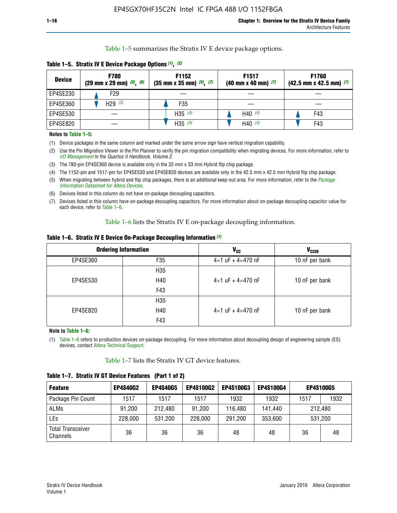Table 1–5 summarizes the Stratix IV E device package options.

| <b>Device</b> | <b>F780</b><br>$(29 \text{ mm} \times 29 \text{ mm})$ $(5)$ , $(6)$ | F1152<br>$(35 \text{ mm} \times 35 \text{ mm})$ $(5)$ $(7)$ | F <sub>1517</sub><br>$(40 \text{ mm} \times 40 \text{ mm})$ (7) | <b>F1760</b><br>$(42.5$ mm x 42.5 mm) $(7)$ |
|---------------|---------------------------------------------------------------------|-------------------------------------------------------------|-----------------------------------------------------------------|---------------------------------------------|
| EP4SE230      | F <sub>29</sub>                                                     |                                                             |                                                                 |                                             |
| EP4SE360      | H29 $(3)$                                                           | F35                                                         |                                                                 |                                             |
| EP4SE530      |                                                                     | H35 $(4)$                                                   | H40 $(4)$                                                       | F43                                         |
| EP4SE820      |                                                                     | H35 $(4)$                                                   | H40 $(4)$                                                       | F43                                         |

**Table 1–5. Stratix IV E Device Package Options** *(1)***,** *(2)*

#### **Notes to Table 1–5:**

(1) Device packages in the same column and marked under the same arrow sign have vertical migration capability.

(2) Use the Pin Migration Viewer in the Pin Planner to verify the pin migration compatibility when migrating devices. For more information, refer to *[I/O Management](http://www.altera.com/literature/hb/qts/qts_qii52013.pdf)* in the *Quartus II Handbook, Volume 2*.

(3) The 780-pin EP4SE360 device is available only in the 33 mm x 33 mm Hybrid flip chip package.

(4) The 1152-pin and 1517-pin for EP4SE530 and EP4SE820 devices are available only in the 42.5 mm x 42.5 mm Hybrid flip chip package.

(5) When migrating between hybrid and flip chip packages, there is an additional keep-out area. For more information, refer to the *[Package](http://www.altera.com/literature/ds/dspkg.pdf)  [Information Datasheet for Altera Devices](http://www.altera.com/literature/ds/dspkg.pdf)*.

(6) Devices listed in this column do not have on-package decoupling capacitors.

(7) Devices listed in this column have on-package decoupling capacitors. For more information about on-package decoupling capacitor value for each device, refer to Table 1–6.

Table 1–6 lists the Stratix IV E on-package decoupling information.

| Table 1–6. Stratix IV E Device On-Package Decoupling Information (1) |  |  |  |  |  |
|----------------------------------------------------------------------|--|--|--|--|--|
|----------------------------------------------------------------------|--|--|--|--|--|

|          | <b>Ordering Information</b> | V <sub>cc</sub>                     | <b>V<sub>CCIO</sub></b> |
|----------|-----------------------------|-------------------------------------|-------------------------|
| EP4SE360 | F <sub>35</sub>             | $4 \times 1$ uF + $4 \times 470$ nF | 10 nF per bank          |
|          | H35                         |                                     |                         |
| EP4SE530 | H40                         | $4\times1$ uF + $4\times470$ nF     | 10 nF per bank          |
|          | F43                         |                                     |                         |
|          | H35                         |                                     |                         |
| EP4SE820 | H40                         | $4\times1$ uF + $4\times470$ nF     | 10 nF per bank          |
|          | F43                         |                                     |                         |

**Note to Table 1–6:**

(1) Table 1–6 refers to production devices on-package decoupling. For more information about decoupling design of engineering sample (ES) devices, contact [Altera Technical Support](http://mysupport.altera.com/eservice/login.asp).

Table 1–7 lists the Stratix IV GT device features.

| <b>Feature</b>                       | <b>EP4S40G2</b> | <b>EP4S40G5</b> | <b>EP4S100G2</b> | <b>EP4S100G3</b> | <b>EP4S100G4</b> | <b>EP4S100G5</b> |         |
|--------------------------------------|-----------------|-----------------|------------------|------------------|------------------|------------------|---------|
| Package Pin Count                    | 1517            | 1517            | 1517             | 1932             | 1932             | 1517             | 1932    |
| <b>ALMs</b>                          | 91,200          | 212,480         | 91,200           | 116,480          | 141,440          | 212.480          |         |
| LEs                                  | 228,000         | 531,200         | 228,000          | 291,200          | 353,600          |                  | 531,200 |
| <b>Total Transceiver</b><br>Channels | 36              | 36              | 36               | 48               | 48               | 36               | 48      |

**Table 1–7. Stratix IV GT Device Features (Part 1 of 2)**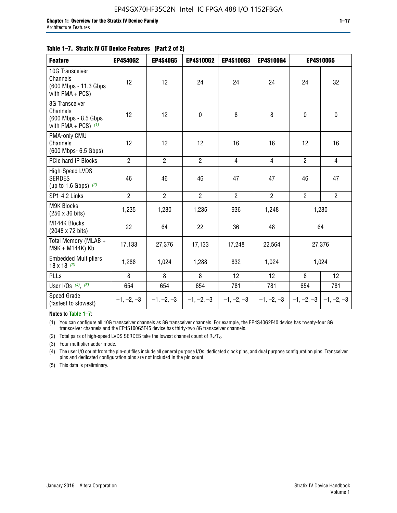| <b>Feature</b>                                                               | <b>EP4S40G2</b> | <b>EP4S40G5</b> | EP4S100G2      | EP4S100G3      | EP4S100G4      |                | <b>EP4S100G5</b>          |
|------------------------------------------------------------------------------|-----------------|-----------------|----------------|----------------|----------------|----------------|---------------------------|
| 10G Transceiver<br>Channels<br>(600 Mbps - 11.3 Gbps)<br>with PMA + PCS)     | 12              | 12              | 24             | 24             | 24             | 24             | 32                        |
| 8G Transceiver<br>Channels<br>(600 Mbps - 8.5 Gbps)<br>with PMA + PCS) $(1)$ | 12              | 12              | $\mathbf 0$    | 8              | 8              | $\mathbf 0$    | $\mathbf 0$               |
| PMA-only CMU<br>Channels<br>(600 Mbps- 6.5 Gbps)                             | 12              | 12              | 12             | 16             | 16             | 12             | 16                        |
| PCIe hard IP Blocks                                                          | $\overline{2}$  | $\overline{2}$  | $\overline{2}$ | 4              | $\overline{4}$ | $\overline{2}$ | $\overline{4}$            |
| High-Speed LVDS<br><b>SERDES</b><br>(up to 1.6 Gbps) $(2)$                   | 46              | 46              | 46             | 47             | 47             | 46             | 47                        |
| SP1-4.2 Links                                                                | $\overline{2}$  | $\overline{2}$  | $\overline{2}$ | $\overline{2}$ | $\overline{2}$ | $\overline{2}$ | $2^{\circ}$               |
| <b>M9K Blocks</b><br>(256 x 36 bits)                                         | 1,235           | 1,280           | 1,235          | 936            | 1,248          |                | 1,280                     |
| M144K Blocks<br>(2048 x 72 bits)                                             | 22              | 64              | 22             | 36             | 48             |                | 64                        |
| Total Memory (MLAB +<br>M9K + M144K) Kb                                      | 17,133          | 27,376          | 17,133         | 17,248         | 22,564         |                | 27,376                    |
| <b>Embedded Multipliers</b><br>$18 \times 18^{(3)}$                          | 1,288           | 1,024           | 1,288          | 832            | 1,024          |                | 1,024                     |
| PLLs                                                                         | 8               | 8               | 8              | 12             | 12             | 8              | 12                        |
| User I/Os $(4)$ , $(5)$                                                      | 654             | 654             | 654            | 781            | 781            | 654            | 781                       |
| Speed Grade<br>(fastest to slowest)                                          | $-1, -2, -3$    | $-1, -2, -3$    | $-1, -2, -3$   | $-1, -2, -3$   | $-1, -2, -3$   |                | $-1, -2, -3$ $-1, -2, -3$ |

**Notes to Table 1–7:**

(1) You can configure all 10G transceiver channels as 8G transceiver channels. For example, the EP4S40G2F40 device has twenty-four 8G transceiver channels and the EP4S100G5F45 device has thirty-two 8G transceiver channels.

(2) Total pairs of high-speed LVDS SERDES take the lowest channel count of  $R_X/T_X$ .

(3) Four multiplier adder mode.

(4) The user I/O count from the pin-out files include all general purpose I/Os, dedicated clock pins, and dual purpose configuration pins. Transceiver pins and dedicated configuration pins are not included in the pin count.

(5) This data is preliminary.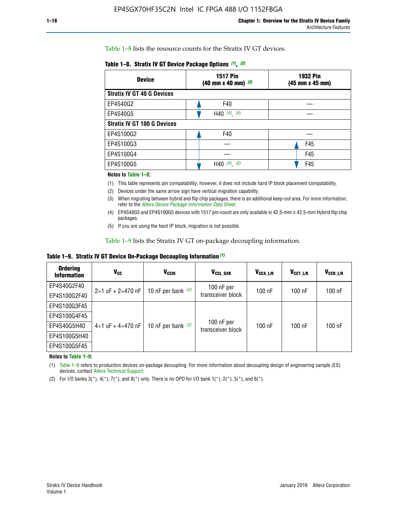Table 1–8 lists the resource counts for the Stratix IV GT devices.

| <b>Device</b>                      | <b>1517 Pin</b><br><b>1932 Pin</b><br>$(40 \text{ mm} \times 40 \text{ mm})$ (3)<br>(45 mm x 45 mm) |     |  |
|------------------------------------|-----------------------------------------------------------------------------------------------------|-----|--|
| <b>Stratix IV GT 40 G Devices</b>  |                                                                                                     |     |  |
| EP4S40G2                           | F40                                                                                                 |     |  |
| EP4S40G5                           | H40 $(4)$ , $(5)$                                                                                   |     |  |
| <b>Stratix IV GT 100 G Devices</b> |                                                                                                     |     |  |
| EP4S100G2                          | F40                                                                                                 |     |  |
| EP4S100G3                          |                                                                                                     | F45 |  |
| EP4S100G4                          |                                                                                                     | F45 |  |
| EP4S100G5                          | H40 $(4)$ , $(5)$                                                                                   | F45 |  |

#### **Notes to Table 1–8:**

(1) This table represents pin compatability; however, it does not include hard IP block placement compatability.

- (2) Devices under the same arrow sign have vertical migration capability.
- (3) When migrating between hybrid and flip chip packages, there is an additional keep-out area. For more information, refer to the *[Altera Device Package Information Data Sheet](http://www.altera.com/literature/ds/dspkg.pdf)*.
- (4) EP4S40G5 and EP4S100G5 devices with 1517 pin-count are only available in 42.5-mm x 42.5-mm Hybrid flip chip packages.
- (5) If you are using the hard IP block, migration is not possible.

Table 1–9 lists the Stratix IV GT on-package decoupling information.

**Table 1–9. Stratix IV GT Device On-Package Decoupling Information** *(1)*

| <b>Ordering</b><br><b>Information</b> | Vcc                                 | <b>V<sub>CCIO</sub></b> | V <sub>CCL GXB</sub>            | V <sub>CCA L/R</sub> | V <sub>CCT L/R</sub> | $V_{CCR\_L/R}$ |
|---------------------------------------|-------------------------------------|-------------------------|---------------------------------|----------------------|----------------------|----------------|
| EP4S40G2F40                           | $2 \times 1$ uF + $2 \times 470$ nF | 10 nF per bank $(2)$    | 100 nF per<br>transceiver block | $100$ nF             | $100$ nF             | $100$ nF       |
| EP4S100G2F40                          |                                     |                         |                                 |                      |                      |                |
| EP4S100G3F45                          |                                     | 10 nF per bank $(2)$    | 100 nF per<br>transceiver block | $100$ nF             | $100$ nF             | $100$ nF       |
| EP4S100G4F45                          |                                     |                         |                                 |                      |                      |                |
| EP4S40G5H40                           | $4\times1$ uF + $4\times470$ nF     |                         |                                 |                      |                      |                |
| EP4S100G5H40                          |                                     |                         |                                 |                      |                      |                |
| EP4S100G5F45                          |                                     |                         |                                 |                      |                      |                |

**Notes to Table 1–9:**

(1) Table 1–9 refers to production devices on-package decoupling. For more information about decoupling design of engineering sample (ES) devices, contact [Altera Technical Support](http://mysupport.altera.com/eservice/login.asp).

(2) For I/O banks  $3(*)$ ,  $4(*)$ ,  $7(*)$ , and  $8(*)$  only. There is no OPD for I/O bank  $1(*)$ ,  $2(*)$ ,  $5(*)$ , and  $6(*)$ .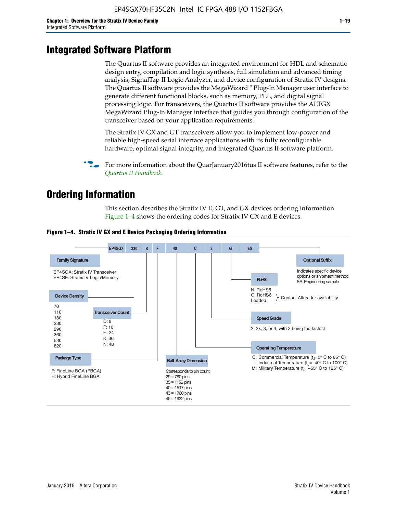# **Integrated Software Platform**

The Quartus II software provides an integrated environment for HDL and schematic design entry, compilation and logic synthesis, full simulation and advanced timing analysis, SignalTap II Logic Analyzer, and device configuration of Stratix IV designs. The Quartus II software provides the MegaWizard<sup> $M$ </sup> Plug-In Manager user interface to generate different functional blocks, such as memory, PLL, and digital signal processing logic. For transceivers, the Quartus II software provides the ALTGX MegaWizard Plug-In Manager interface that guides you through configuration of the transceiver based on your application requirements.

The Stratix IV GX and GT transceivers allow you to implement low-power and reliable high-speed serial interface applications with its fully reconfigurable hardware, optimal signal integrity, and integrated Quartus II software platform.

For more information about the QuarJanuary2016tus II software features, refer to the *[Quartus II Handbook](http://www.altera.com/literature/lit-qts.jsp)*.

# **Ordering Information**

This section describes the Stratix IV E, GT, and GX devices ordering information. Figure 1–4 shows the ordering codes for Stratix IV GX and E devices.



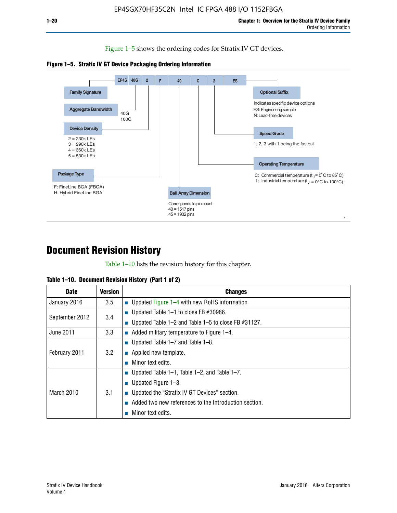Figure 1–5 shows the ordering codes for Stratix IV GT devices.





# **Document Revision History**

Table 1–10 lists the revision history for this chapter.

| Table 1–10. Document Revision History (Part 1 of 2) |  |  |  |  |  |
|-----------------------------------------------------|--|--|--|--|--|
|-----------------------------------------------------|--|--|--|--|--|

| <b>Date</b>       | Version | <b>Changes</b>                                         |
|-------------------|---------|--------------------------------------------------------|
| January 2016      | 3.5     | <b>Updated Figure 1–4 with new RoHS information</b>    |
| September 2012    | 3.4     | ■ Updated Table 1–1 to close FB $#30986$ .             |
|                   |         | Updated Table 1–2 and Table 1–5 to close FB $#31127$ . |
| June 2011         | 3.3     | Added military temperature to Figure 1–4.              |
| February 2011     |         | ■ Updated Table 1–7 and Table 1–8.                     |
|                   | 3.2     | $\blacksquare$ Applied new template.                   |
|                   |         | Minor text edits.                                      |
| <b>March 2010</b> |         | <b>Updated Table 1–1, Table 1–2, and Table 1–7.</b>    |
|                   | 3.1     | ■ Updated Figure $1-3$ .                               |
|                   |         | ■ Updated the "Stratix IV GT Devices" section.         |
|                   |         | Added two new references to the Introduction section.  |
|                   |         | Minor text edits.                                      |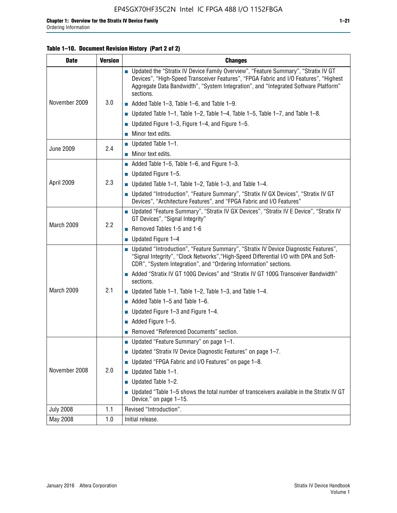## **Table 1–10. Document Revision History (Part 2 of 2)**

| <b>Date</b>      | <b>Version</b> | <b>Changes</b>                                                                                                                                                                                                                                                                    |  |  |
|------------------|----------------|-----------------------------------------------------------------------------------------------------------------------------------------------------------------------------------------------------------------------------------------------------------------------------------|--|--|
| November 2009    |                | ■ Updated the "Stratix IV Device Family Overview", "Feature Summary", "Stratix IV GT<br>Devices", "High-Speed Transceiver Features", "FPGA Fabric and I/O Features", "Highest<br>Aggregate Data Bandwidth", "System Integration", and "Integrated Software Platform"<br>sections. |  |  |
|                  | 3.0            | $\blacksquare$ Added Table 1-3, Table 1-6, and Table 1-9.                                                                                                                                                                                                                         |  |  |
|                  |                | $\blacksquare$ Updated Table 1-1, Table 1-2, Table 1-4, Table 1-5, Table 1-7, and Table 1-8.                                                                                                                                                                                      |  |  |
|                  |                | ■ Updated Figure 1–3, Figure 1–4, and Figure 1–5.                                                                                                                                                                                                                                 |  |  |
|                  |                | $\blacksquare$ Minor text edits.                                                                                                                                                                                                                                                  |  |  |
| <b>June 2009</b> | 2.4            | $\blacksquare$ Updated Table 1-1.                                                                                                                                                                                                                                                 |  |  |
|                  |                | Minor text edits.                                                                                                                                                                                                                                                                 |  |  |
|                  |                | $\blacksquare$ Added Table 1–5, Table 1–6, and Figure 1–3.                                                                                                                                                                                                                        |  |  |
|                  |                | $\blacksquare$ Updated Figure 1-5.                                                                                                                                                                                                                                                |  |  |
| April 2009       | 2.3            | Updated Table $1-1$ , Table $1-2$ , Table $1-3$ , and Table $1-4$ .                                                                                                                                                                                                               |  |  |
|                  |                | ■ Updated "Introduction", "Feature Summary", "Stratix IV GX Devices", "Stratix IV GT<br>Devices", "Architecture Features", and "FPGA Fabric and I/O Features"                                                                                                                     |  |  |
|                  | 2.2            | ■ Updated "Feature Summary", "Stratix IV GX Devices", "Stratix IV E Device", "Stratix IV<br>GT Devices", "Signal Integrity"                                                                                                                                                       |  |  |
| March 2009       |                | Removed Tables 1-5 and 1-6                                                                                                                                                                                                                                                        |  |  |
|                  |                | Updated Figure 1-4                                                                                                                                                                                                                                                                |  |  |
|                  |                | ■ Updated "Introduction", "Feature Summary", "Stratix IV Device Diagnostic Features",<br>"Signal Integrity", "Clock Networks", "High-Speed Differential I/O with DPA and Soft-<br>CDR", "System Integration", and "Ordering Information" sections.                                |  |  |
|                  |                | Added "Stratix IV GT 100G Devices" and "Stratix IV GT 100G Transceiver Bandwidth"<br>sections.                                                                                                                                                                                    |  |  |
| March 2009       | 2.1            | <b>Updated Table 1–1, Table 1–2, Table 1–3, and Table 1–4.</b>                                                                                                                                                                                                                    |  |  |
|                  |                | $\blacksquare$ Added Table 1-5 and Table 1-6.                                                                                                                                                                                                                                     |  |  |
|                  |                | ■ Updated Figure $1-3$ and Figure $1-4$ .                                                                                                                                                                                                                                         |  |  |
|                  |                | $\blacksquare$ Added Figure 1-5.                                                                                                                                                                                                                                                  |  |  |
|                  |                | Removed "Referenced Documents" section.                                                                                                                                                                                                                                           |  |  |
|                  | 2.0            | Updated "Feature Summary" on page 1-1.                                                                                                                                                                                                                                            |  |  |
|                  |                | ■ Updated "Stratix IV Device Diagnostic Features" on page 1-7.                                                                                                                                                                                                                    |  |  |
| November 2008    |                | Updated "FPGA Fabric and I/O Features" on page 1-8.                                                                                                                                                                                                                               |  |  |
|                  |                | $\blacksquare$ Updated Table 1-1.                                                                                                                                                                                                                                                 |  |  |
|                  |                | Updated Table 1-2.                                                                                                                                                                                                                                                                |  |  |
|                  |                | Updated "Table 1-5 shows the total number of transceivers available in the Stratix IV GT<br>Device." on page 1-15.                                                                                                                                                                |  |  |
| <b>July 2008</b> | 1.1            | Revised "Introduction".                                                                                                                                                                                                                                                           |  |  |
| May 2008         | 1.0            | Initial release.                                                                                                                                                                                                                                                                  |  |  |